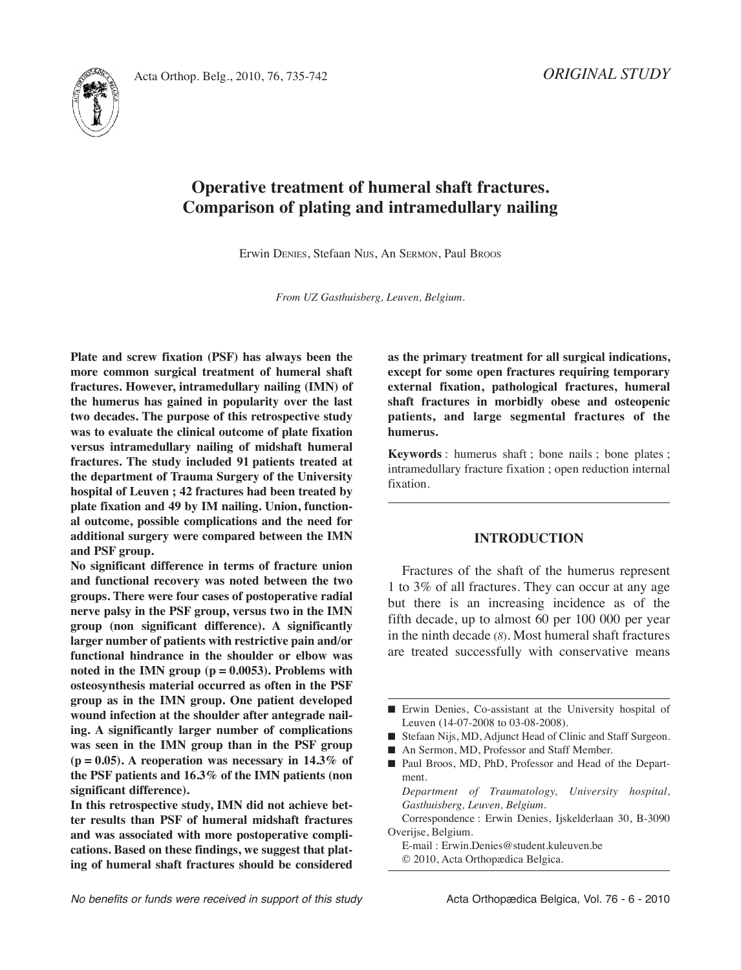*ORIGINAL STUDY*



# **Operative treatment of humeral shaft fractures. Comparison of plating and intramedullary nailing**

Erwin DENIES, Stefaan NIJS, An SERMON, Paul Broos

*From UZ Gasthuisberg, Leuven, Belgium.*

**Plate and screw fixation (PSF) has always been the more common surgical treatment of humeral shaft fractures. However, intramedullary nailing (IMN) of the humerus has gained in popularity over the last two decades. The purpose of this retrospective study was to evaluate the clinical outcome of plate fixation versus intramedullary nailing of midshaft humeral fractures. The study included 91 patients treated at the department of Trauma Surgery of the University hospital of Leuven ; 42 fractures had been treated by plate fixation and 49 by IM nailing. Union, functional outcome, possible complications and the need for additional surgery were compared between the IMN and PSF group.**

**No significant difference in terms of fracture union and functional recovery was noted between the two groups. There were four cases of postoperative radial nerve palsy in the PSF group, versus two in the IMN group (non significant difference). A significantly larger number of patients with restrictive pain and/or functional hindrance in the shoulder or elbow was noted in the IMN group (p = 0.0053). Problems with osteosynthesis material occurred as often in the PSF group as in the IMN group. One patient developed wound infection at the shoulder after antegrade nailing. A significantly larger number of complications was seen in the IMN group than in the PSF group (p = 0.05). A reoperation was necessary in 14.3% of the PSF patients and 16.3% of the IMN patients (non significant difference).**

**In this retrospective study, IMN did not achieve better results than PSF of humeral midshaft fractures and was associated with more postoperative complications. Based on these findings, we suggest that plating of humeral shaft fractures should be considered** **as the primary treatment for all surgical indications, except for some open fractures requiring temporary external fixation, pathological fractures, humeral shaft fractures in morbidly obese and osteopenic patients, and large segmental fractures of the humerus.**

**Keywords** : humerus shaft ; bone nails ; bone plates ; intramedullary fracture fixation ; open reduction internal fixation.

#### **INTRODUCTION**

Fractures of the shaft of the humerus represent 1 to 3% of all fractures. They can occur at any age but there is an increasing incidence as of the fifth decade, up to almost 60 per 100 000 per year in the ninth decade (*8*)*.* Most humeral shaft fractures are treated successfully with conservative means

- Stefaan Nijs, MD, Adjunct Head of Clinic and Staff Surgeon.
- An Sermon, MD, Professor and Staff Member.
- Paul Broos, MD, PhD, Professor and Head of the Department.

*Department of Traumatology, University hospital, Gasthuisberg, Leuven, Belgium.*

Correspondence : Erwin Denies, Ijskelderlaan 30, B-3090 Overijse, Belgium.

E-mail : Erwin.Denies@student.kuleuven.be © 2010, Acta Orthopædica Belgica.

**<sup>■</sup>** Erwin Denies, Co-assistant at the University hospital of Leuven (14-07-2008 to 03-08-2008).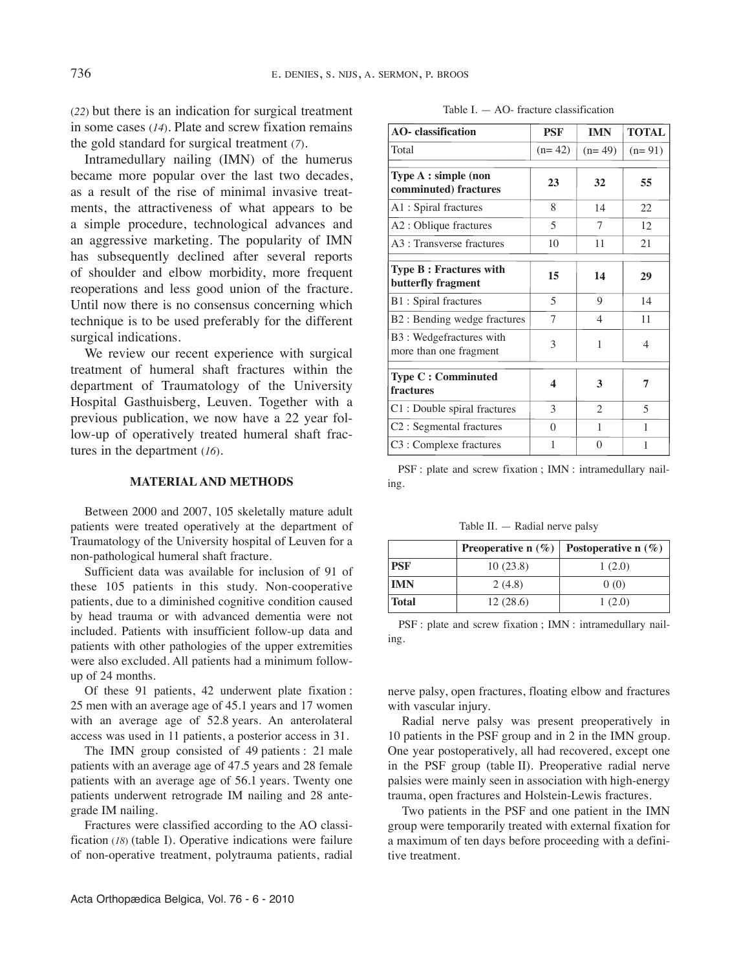(*22*) but there is an indication for surgical treatment in some cases (*14*)*.* Plate and screw fixation remains the gold standard for surgical treatment (*7*)*.*

Intramedullary nailing (IMN) of the humerus became more popular over the last two decades, as a result of the rise of minimal invasive treatments, the attractiveness of what appears to be a simple procedure, technological advances and an aggressive marketing. The popularity of IMN has subsequently declined after several reports of shoulder and elbow morbidity, more frequent reoperations and less good union of the fracture. Until now there is no consensus concerning which technique is to be used preferably for the different surgical indications.

We review our recent experience with surgical treatment of humeral shaft fractures within the department of Traumatology of the University Hospital Gasthuisberg, Leuven. Together with a previous publication, we now have a 22 year follow-up of operatively treated humeral shaft fractures in the department (*16*)*.*

#### **MATERIAL AND METHODS**

Between 2000 and 2007, 105 skeletally mature adult patients were treated operatively at the department of Traumatology of the University hospital of Leuven for a non-pathological humeral shaft fracture.

Sufficient data was available for inclusion of 91 of these 105 patients in this study. Non-cooperative patients, due to a diminished cognitive condition caused by head trauma or with advanced dementia were not included. Patients with insufficient follow-up data and patients with other pathologies of the upper extremities were also excluded. All patients had a minimum followup of 24 months.

Of these 91 patients, 42 underwent plate fixation : 25 men with an average age of 45.1 years and 17 women with an average age of 52.8 years. An anterolateral access was used in 11 patients, a posterior access in 31.

The IMN group consisted of 49 patients : 21 male patients with an average age of 47.5 years and 28 female patients with an average age of 56.1 years. Twenty one patients underwent retrograde IM nailing and 28 antegrade IM nailing.

Fractures were classified according to the AO classification (*18*) (table I). Operative indications were failure of non-operative treatment, polytrauma patients, radial

| <b>AO-</b> classification                           | <b>PSF</b>     | <b>IMN</b>     | <b>TOTAL</b>   |
|-----------------------------------------------------|----------------|----------------|----------------|
| Total                                               | $(n=42)$       | $(n=49)$       | $(n=91)$       |
| Type A : simple (non<br>comminuted) fractures       | 23             | 32             | 55             |
| A1 : Spiral fractures                               | 8              | 14             | 22.            |
| A2 : Oblique fractures                              | $\overline{5}$ | 7              | 12             |
| A3 : Transverse fractures                           | 10             | 11             | 21             |
| <b>Type B: Fractures with</b><br>butterfly fragment | 15             | 14             | 29             |
| B1 : Spiral fractures                               | $\overline{5}$ | 9              | 14             |
| B2 : Bending wedge fractures                        | 7              | $\overline{4}$ | 11             |
| B3 : Wedgefractures with<br>more than one fragment  | 3              | 1              | 4              |
| <b>Type C: Comminuted</b><br>fractures              | 4              | 3              | 7              |
| C1 : Double spiral fractures                        | 3              | $\overline{c}$ | $\overline{5}$ |
| C2 : Segmental fractures                            | $\Omega$       | 1              | 1              |
| C3 : Complexe fractures                             | 1              | $\Omega$       | 1              |

PSF : plate and screw fixation ; IMN : intramedullary nailing.

Table II.  $-$  Radial nerve palsy

|            |          | <b>Preoperative n</b> $(\%)$ <b>Postoperative n</b> $(\%)$ |
|------------|----------|------------------------------------------------------------|
| <b>PSF</b> | 10(23.8) | 1(2.0)                                                     |
| <b>IMN</b> | 2(4.8)   | 0(0)                                                       |
| Total      | 12(28.6) | 1(2.0)                                                     |

PSF : plate and screw fixation ; IMN : intramedullary nailing.

nerve palsy, open fractures, floating elbow and fractures with vascular injury.

Radial nerve palsy was present preoperatively in 10 patients in the PSF group and in 2 in the IMN group. One year postoperatively, all had recovered, except one in the PSF group (table II). Preoperative radial nerve palsies were mainly seen in association with high-energy trauma, open fractures and Holstein-Lewis fractures.

Two patients in the PSF and one patient in the IMN group were temporarily treated with external fixation for a maximum of ten days before proceeding with a definitive treatment.

| Table $I = AO$ - fracture classification |  |
|------------------------------------------|--|
|------------------------------------------|--|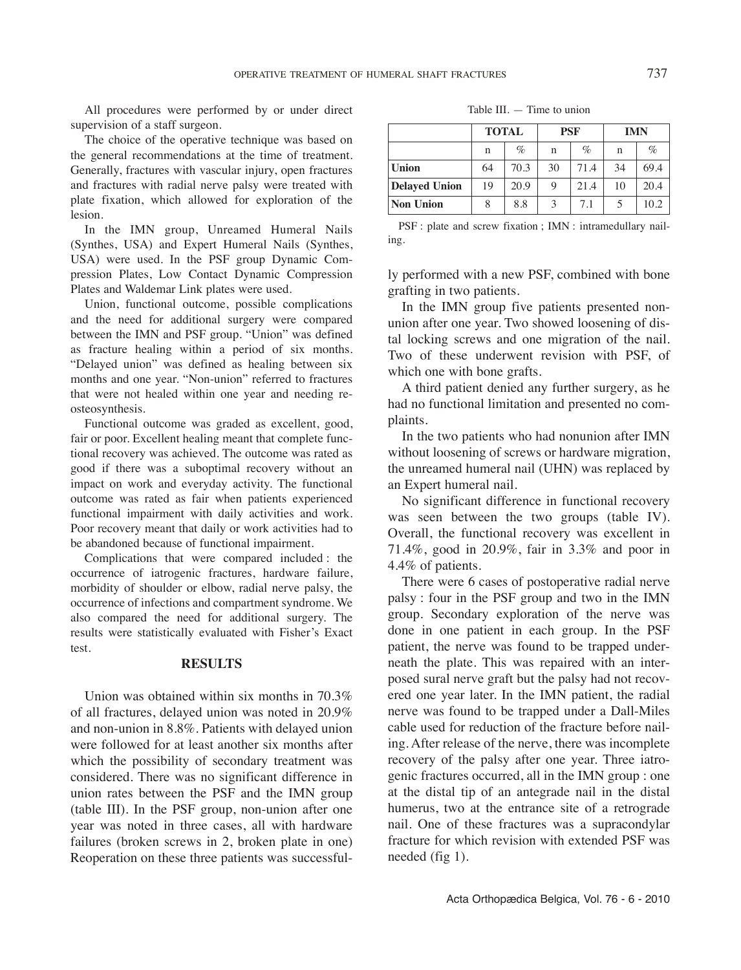All procedures were performed by or under direct supervision of a staff surgeon.

The choice of the operative technique was based on the general recommendations at the time of treatment. Generally, fractures with vascular injury, open fractures and fractures with radial nerve palsy were treated with plate fixation, which allowed for exploration of the lesion.

In the IMN group, Unreamed Humeral Nails (Synthes, USA) and Expert Humeral Nails (Synthes, USA) were used. In the PSF group Dynamic Compression Plates, Low Contact Dynamic Compression Plates and Waldemar Link plates were used.

Union, functional outcome, possible complications and the need for additional surgery were compared between the IMN and PSF group. "Union" was defined as fracture healing within a period of six months. "Delayed union" was defined as healing between six months and one year. "Non-union" referred to fractures that were not healed within one year and needing reosteosynthesis.

Functional outcome was graded as excellent, good, fair or poor. Excellent healing meant that complete functional recovery was achieved. The outcome was rated as good if there was a suboptimal recovery without an impact on work and everyday activity. The functional outcome was rated as fair when patients experienced functional impairment with daily activities and work. Poor recovery meant that daily or work activities had to be abandoned because of functional impairment.

Complications that were compared included : the occurrence of iatrogenic fractures, hardware failure, morbidity of shoulder or elbow, radial nerve palsy, the occurrence of infections and compartment syndrome. We also compared the need for additional surgery. The results were statistically evaluated with Fisher's Exact test.

#### **RESULTS**

Union was obtained within six months in 70.3% of all fractures, delayed union was noted in 20.9% and non-union in 8.8%. Patients with delayed union were followed for at least another six months after which the possibility of secondary treatment was considered. There was no significant difference in union rates between the PSF and the IMN group (table III). In the PSF group, non-union after one year was noted in three cases, all with hardware failures (broken screws in 2, broken plate in one) Reoperation on these three patients was successful-

Table III. — Time to union

|                  | <b>TOTAL</b> |      | <b>PSF</b>  |      | <b>IMN</b> |      |
|------------------|--------------|------|-------------|------|------------|------|
|                  | n            | $\%$ | $\mathbf n$ | $\%$ | n          | $\%$ |
| <b>Union</b>     | 64           | 70.3 | 30          | 71.4 | 34         | 69.4 |
| Delayed Union    | 19           | 20.9 | 9           | 21.4 | 10         | 20.4 |
| <b>Non Union</b> | 8            | 8.8  | 3           | 7.1  |            | 10.2 |

PSF : plate and screw fixation ; IMN : intramedullary nailing.

ly performed with a new PSF, combined with bone grafting in two patients.

In the IMN group five patients presented nonunion after one year. Two showed loosening of distal locking screws and one migration of the nail. Two of these underwent revision with PSF, of which one with bone grafts.

A third patient denied any further surgery, as he had no functional limitation and presented no complaints.

In the two patients who had nonunion after IMN without loosening of screws or hardware migration, the unreamed humeral nail (UHN) was replaced by an Expert humeral nail.

No significant difference in functional recovery was seen between the two groups (table Iv). Overall, the functional recovery was excellent in 71.4%, good in 20.9%, fair in 3.3% and poor in 4.4% of patients.

There were 6 cases of postoperative radial nerve palsy : four in the PSF group and two in the IMN group. Secondary exploration of the nerve was done in one patient in each group. In the PSF patient, the nerve was found to be trapped underneath the plate. This was repaired with an interposed sural nerve graft but the palsy had not recovered one year later. In the IMN patient, the radial nerve was found to be trapped under a Dall-Miles cable used for reduction of the fracture before nailing. After release of the nerve, there was incomplete recovery of the palsy after one year. Three iatrogenic fractures occurred, all in the IMN group : one at the distal tip of an antegrade nail in the distal humerus, two at the entrance site of a retrograde nail. One of these fractures was a supracondylar fracture for which revision with extended PSF was needed (fig 1).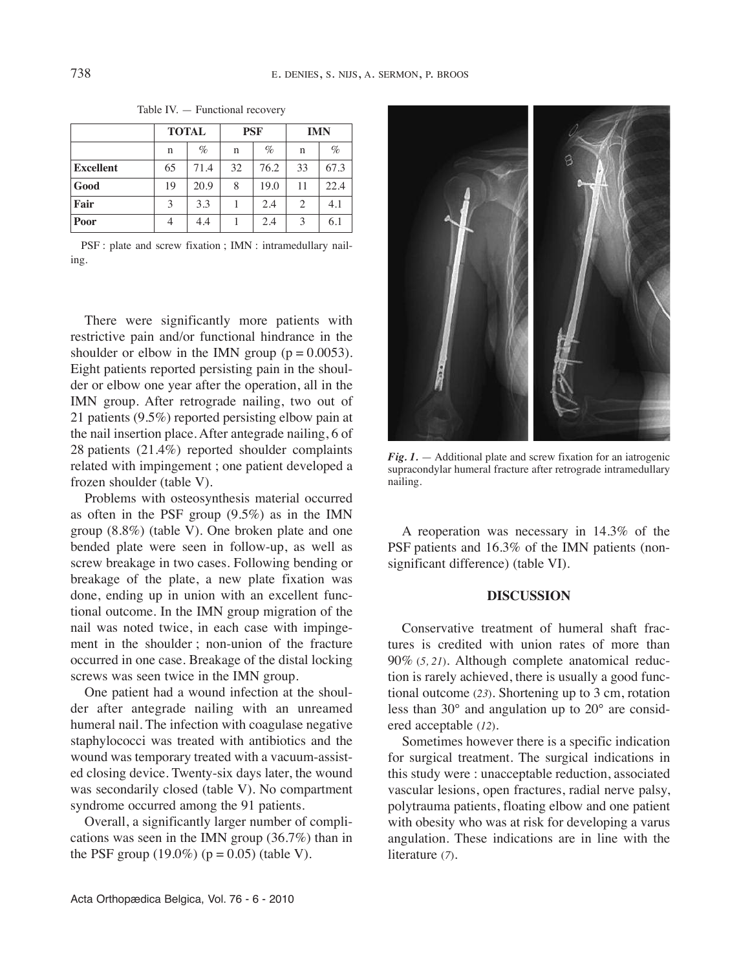|                  | <b>TOTAL</b> |      | <b>PSF</b> |      | <b>IMN</b>     |      |
|------------------|--------------|------|------------|------|----------------|------|
|                  | n            | $\%$ | n          | $\%$ | $\mathbf n$    | $\%$ |
| <b>Excellent</b> | 65           | 71.4 | 32         | 76.2 | 33             | 67.3 |
| Good             | 19           | 20.9 | 8          | 19.0 | 11             | 22.4 |
| Fair             | 3            | 3.3  |            | 2.4  | $\overline{c}$ | 4.1  |
| Poor             |              | 4.4  |            | 2.4  | 3              | 6.1  |

Table Iv. — Functional recovery

PSF : plate and screw fixation ; IMN : intramedullary nailing.

There were significantly more patients with restrictive pain and/or functional hindrance in the shoulder or elbow in the IMN group ( $p = 0.0053$ ). Eight patients reported persisting pain in the shoulder or elbow one year after the operation, all in the IMN group. After retrograde nailing, two out of 21 patients (9.5%) reported persisting elbow pain at the nail insertion place. After antegrade nailing, 6 of 28 patients (21.4%) reported shoulder complaints related with impingement ; one patient developed a frozen shoulder (table V).

Problems with osteosynthesis material occurred as often in the PSF group (9.5%) as in the IMN group (8.8%) (table v). One broken plate and one bended plate were seen in follow-up, as well as screw breakage in two cases. Following bending or breakage of the plate, a new plate fixation was done, ending up in union with an excellent functional outcome. In the IMN group migration of the nail was noted twice, in each case with impingement in the shoulder ; non-union of the fracture occurred in one case. Breakage of the distal locking screws was seen twice in the IMN group.

One patient had a wound infection at the shoulder after antegrade nailing with an unreamed humeral nail. The infection with coagulase negative staphylococci was treated with antibiotics and the wound was temporary treated with a vacuum-assisted closing device. Twenty-six days later, the wound was secondarily closed (table V). No compartment syndrome occurred among the 91 patients.

Overall, a significantly larger number of complications was seen in the IMN group (36.7%) than in the PSF group  $(19.0\%)$  ( $p = 0.05$ ) (table V).



*Fig. 1.* — Additional plate and screw fixation for an iatrogenic supracondylar humeral fracture after retrograde intramedullary nailing.

A reoperation was necessary in 14.3% of the PSF patients and 16.3% of the IMN patients (nonsignificant difference) (table VI).

# **DISCUSSION**

Conservative treatment of humeral shaft fractures is credited with union rates of more than 90% (*5, 21*)*.* Although complete anatomical reduction is rarely achieved, there is usually a good functional outcome (*23*)*.* Shortening up to 3 cm, rotation less than 30° and angulation up to 20° are considered acceptable (*12*)*.*

Sometimes however there is a specific indication for surgical treatment. The surgical indications in this study were : unacceptable reduction, associated vascular lesions, open fractures, radial nerve palsy, polytrauma patients, floating elbow and one patient with obesity who was at risk for developing a varus angulation. These indications are in line with the literature (*7*).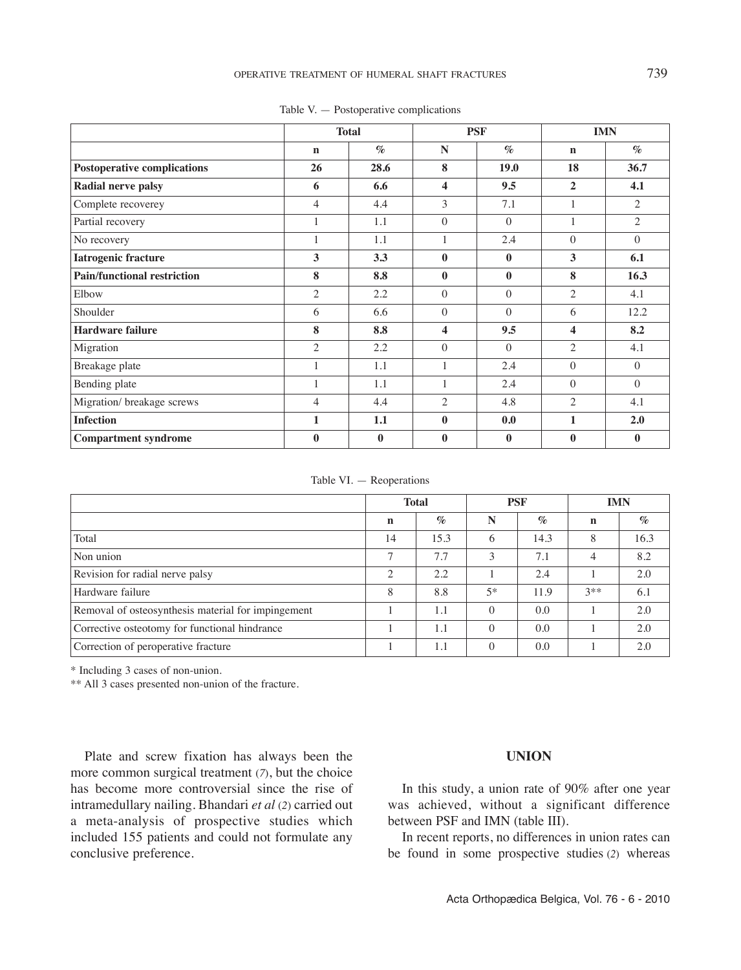|                                    |                | <b>Total</b>   | <b>PSF</b>              |                | <b>IMN</b>     |                |
|------------------------------------|----------------|----------------|-------------------------|----------------|----------------|----------------|
|                                    | $\mathbf n$    | $\mathcal{O}'$ | N                       | $\mathcal{O}'$ | $\mathbf n$    | $\mathcal{O}'$ |
| <b>Postoperative complications</b> | 26             | 28.6           | 8                       | 19.0           | 18             | 36.7           |
| Radial nerve palsy                 | 6              | 6.6            | $\overline{\mathbf{4}}$ | 9.5            | $\overline{2}$ | 4.1            |
| Complete recoverey                 | $\overline{4}$ | 4.4            | 3                       | 7.1            |                | $\overline{2}$ |
| Partial recovery                   |                | 1.1            | $\theta$                | $\Omega$       |                | 2              |
| No recovery                        |                | 1.1            |                         | 2.4            | $\Omega$       | $\Omega$       |
| Iatrogenic fracture                | 3              | 3.3            | $\bf{0}$                | $\bf{0}$       | 3              | 6.1            |
| <b>Pain/functional restriction</b> | 8              | 8.8            | $\bf{0}$                | $\bf{0}$       | 8              | 16.3           |
| Elbow                              | $\overline{2}$ | 2.2            | $\theta$                | $\Omega$       | $\overline{2}$ | 4.1            |
| Shoulder                           | 6              | 6.6            | $\theta$                | $\Omega$       | 6              | 12.2           |
| <b>Hardware failure</b>            | 8              | 8.8            | 4                       | 9.5            | 4              | 8.2            |
| Migration                          | $\overline{2}$ | 2.2            | $\theta$                | $\Omega$       | $\overline{2}$ | 4.1            |
| Breakage plate                     | $\mathbf{1}$   | 1.1            | 1                       | 2.4            | $\theta$       | $\theta$       |
| Bending plate                      | 1              | 1.1            |                         | 2.4            | $\theta$       | $\theta$       |
| Migration/ breakage screws         | 4              | 4.4            | $\overline{2}$          | 4.8            | $\overline{c}$ | 4.1            |
| <b>Infection</b>                   | 1              | 1.1            | $\bf{0}$                | 0.0            | 1              | 2.0            |
| <b>Compartment syndrome</b>        | $\mathbf 0$    | $\mathbf{0}$   | $\bf{0}$                | $\bf{0}$       | $\bf{0}$       | $\bf{0}$       |

Table v. — Postoperative complications

Table VI.  $-$  Reoperations

|                                                    | <b>Total</b>  |      | <b>PSF</b> |      | <b>IMN</b>  |      |
|----------------------------------------------------|---------------|------|------------|------|-------------|------|
|                                                    | n             | $\%$ | N          | $\%$ | $\mathbf n$ | $\%$ |
| Total                                              | 14            | 15.3 | 6          | 14.3 | 8           | 16.3 |
| Non union                                          | $\mathcal{I}$ | 7.7  | 3          | 7.1  | 4           | 8.2  |
| Revision for radial nerve palsy                    | $\bigcap$     | 2.2  |            | 2.4  |             | 2.0  |
| Hardware failure                                   | 8             | 8.8  | $5*$       | 11.9 | $3**$       | 6.1  |
| Removal of osteosynthesis material for impingement |               | 1.1  | $\Omega$   | 0.0  |             | 2.0  |
| Corrective osteotomy for functional hindrance      |               | 1.1  | $\Omega$   | 0.0  |             | 2.0  |
| Correction of peroperative fracture                |               | 1.1  | $\Omega$   | 0.0  |             | 2.0  |

\* Including 3 cases of non-union.

\*\* All 3 cases presented non-union of the fracture.

Plate and screw fixation has always been the more common surgical treatment (*7*), but the choice has become more controversial since the rise of intramedullary nailing. Bhandari *et al* (*2*) carried out a meta-analysis of prospective studies which included 155 patients and could not formulate any conclusive preference.

#### **UNION**

In this study, a union rate of 90% after one year was achieved, without a significant difference between PSF and IMN (table III).

In recent reports, no differences in union rates can be found in some prospective studies (*2*) whereas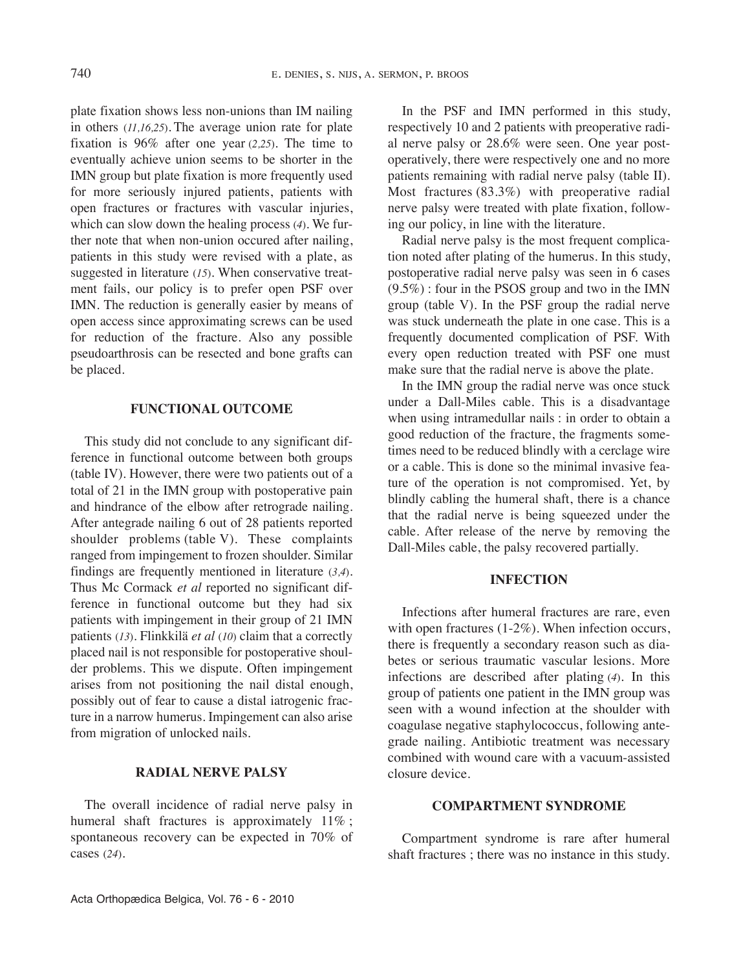plate fixation shows less non-unions than IM nailing in others (*11,16,25*). The average union rate for plate fixation is 96% after one year (*2,25*). The time to eventually achieve union seems to be shorter in the IMN group but plate fixation is more frequently used for more seriously injured patients, patients with open fractures or fractures with vascular injuries, which can slow down the healing process (*4*). We further note that when non-union occured after nailing, patients in this study were revised with a plate, as suggested in literature (*15*). When conservative treatment fails, our policy is to prefer open PSF over IMN. The reduction is generally easier by means of open access since approximating screws can be used for reduction of the fracture. Also any possible pseudoarthrosis can be resected and bone grafts can be placed.

### **FUNCTIONAL OUTCOME**

This study did not conclude to any significant difference in functional outcome between both groups (table Iv). However, there were two patients out of a total of 21 in the IMN group with postoperative pain and hindrance of the elbow after retrograde nailing. After antegrade nailing 6 out of 28 patients reported shoulder problems (table v). These complaints ranged from impingement to frozen shoulder. Similar findings are frequently mentioned in literature (*3,4*). Thus Mc Cormack *et al* reported no significant difference in functional outcome but they had six patients with impingement in their group of 21 IMN patients (*13*). Flinkkilä *et al* (*10*) claim that a correctly placed nail is not responsible for postoperative shoulder problems. This we dispute. Often impingement arises from not positioning the nail distal enough, possibly out of fear to cause a distal iatrogenic fracture in a narrow humerus. Impingement can also arise from migration of unlocked nails.

## **RADIAL NERVE PALSY**

The overall incidence of radial nerve palsy in humeral shaft fractures is approximately 11%; spontaneous recovery can be expected in 70% of cases (*24*).

In the PSF and IMN performed in this study, respectively 10 and 2 patients with preoperative radial nerve palsy or 28.6% were seen. One year postoperatively, there were respectively one and no more patients remaining with radial nerve palsy (table II). Most fractures (83.3%) with preoperative radial nerve palsy were treated with plate fixation, following our policy, in line with the literature.

Radial nerve palsy is the most frequent complication noted after plating of the humerus. In this study, postoperative radial nerve palsy was seen in 6 cases (9.5%) : four in the PSOS group and two in the IMN group (table v). In the PSF group the radial nerve was stuck underneath the plate in one case. This is a frequently documented complication of PSF. With every open reduction treated with PSF one must make sure that the radial nerve is above the plate.

In the IMN group the radial nerve was once stuck under a Dall-Miles cable. This is a disadvantage when using intramedullar nails : in order to obtain a good reduction of the fracture, the fragments sometimes need to be reduced blindly with a cerclage wire or a cable. This is done so the minimal invasive feature of the operation is not compromised. Yet, by blindly cabling the humeral shaft, there is a chance that the radial nerve is being squeezed under the cable. After release of the nerve by removing the Dall-Miles cable, the palsy recovered partially.

## **INFECTION**

Infections after humeral fractures are rare, even with open fractures (1-2%). When infection occurs, there is frequently a secondary reason such as diabetes or serious traumatic vascular lesions. More infections are described after plating (*4*). In this group of patients one patient in the IMN group was seen with a wound infection at the shoulder with coagulase negative staphylococcus, following antegrade nailing. Antibiotic treatment was necessary combined with wound care with a vacuum-assisted closure device.

### **COMPARTMENT SYNDROME**

Compartment syndrome is rare after humeral shaft fractures ; there was no instance in this study.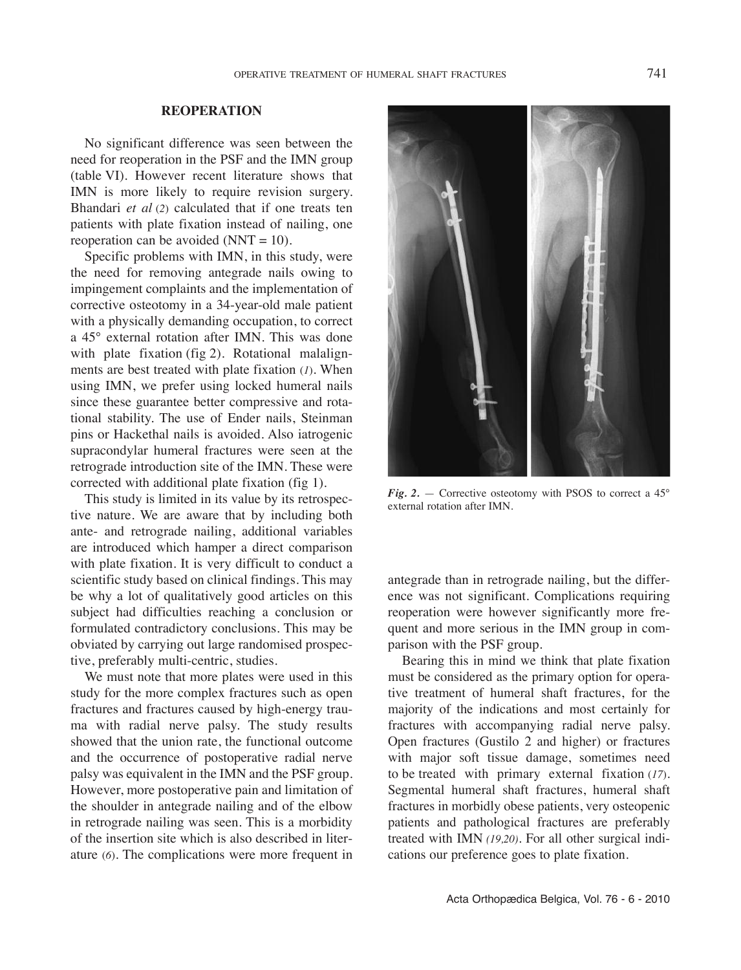## **REOPERATION**

No significant difference was seen between the need for reoperation in the PSF and the IMN group (table vI). However recent literature shows that IMN is more likely to require revision surgery. Bhandari *et al* (*2*) calculated that if one treats ten patients with plate fixation instead of nailing, one reoperation can be avoided (NNT =  $10$ ).

Specific problems with IMN, in this study, were the need for removing antegrade nails owing to impingement complaints and the implementation of corrective osteotomy in a 34-year-old male patient with a physically demanding occupation, to correct a 45° external rotation after IMN. This was done with plate fixation (fig 2). Rotational malalignments are best treated with plate fixation (*1*). When using IMN, we prefer using locked humeral nails since these guarantee better compressive and rotational stability. The use of Ender nails, Steinman pins or Hackethal nails is avoided. Also iatrogenic supracondylar humeral fractures were seen at the retrograde introduction site of the IMN. These were corrected with additional plate fixation (fig 1).

This study is limited in its value by its retrospective nature. We are aware that by including both ante- and retrograde nailing, additional variables are introduced which hamper a direct comparison with plate fixation. It is very difficult to conduct a scientific study based on clinical findings. This may be why a lot of qualitatively good articles on this subject had difficulties reaching a conclusion or formulated contradictory conclusions. This may be obviated by carrying out large randomised prospective, preferably multi-centric, studies.

We must note that more plates were used in this study for the more complex fractures such as open fractures and fractures caused by high-energy trauma with radial nerve palsy. The study results showed that the union rate, the functional outcome and the occurrence of postoperative radial nerve palsy was equivalent in the IMN and the PSF group. However, more postoperative pain and limitation of the shoulder in antegrade nailing and of the elbow in retrograde nailing was seen. This is a morbidity of the insertion site which is also described in literature (*6*). The complications were more frequent in



*Fig.* 2. — Corrective osteotomy with PSOS to correct a  $45^\circ$ external rotation after IMN.

antegrade than in retrograde nailing, but the difference was not significant. Complications requiring reoperation were however significantly more frequent and more serious in the IMN group in comparison with the PSF group.

Bearing this in mind we think that plate fixation must be considered as the primary option for operative treatment of humeral shaft fractures, for the majority of the indications and most certainly for fractures with accompanying radial nerve palsy. Open fractures (Gustilo 2 and higher) or fractures with major soft tissue damage, sometimes need to be treated with primary external fixation (*17*). Segmental humeral shaft fractures, humeral shaft fractures in morbidly obese patients, very osteopenic patients and pathological fractures are preferably treated with IMN *(19,20)*. For all other surgical indications our preference goes to plate fixation.